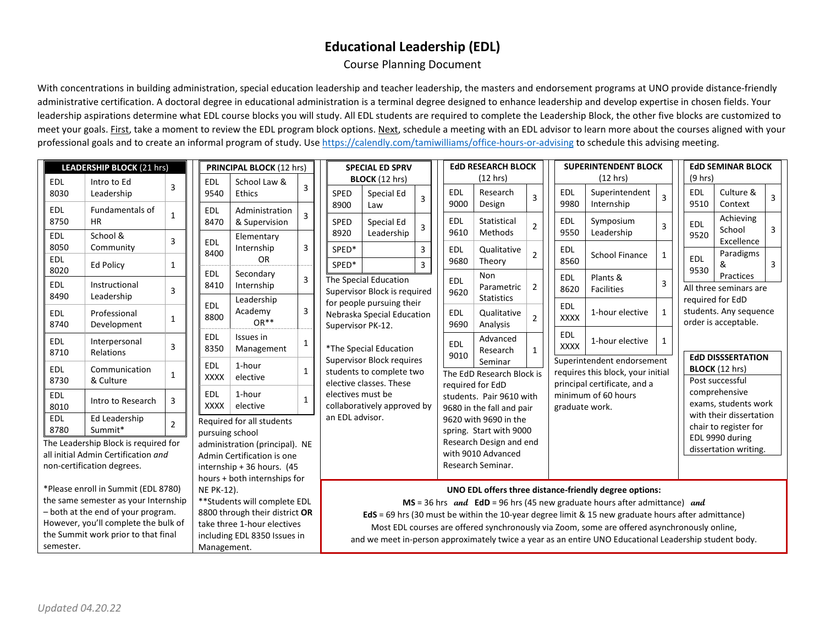## **Educational Leadership (EDL)**

## Course Planning Document

With concentrations in building administration, special education leadership and teacher leadership, the masters and endorsement programs at UNO provide distance-friendly administrative certification. A doctoral degree in educational administration is a terminal degree designed to enhance leadership and develop expertise in chosen fields. Your leadership aspirations determine what EDL course blocks you will study. All EDL students are required to complete the Leadership Block, the other five blocks are customized to meet your goals. First, take a moment to review the EDL program block options. Next, schedule a meeting with an EDL advisor to learn more about the courses aligned with your professional goals and to create an informal program of study. Us[e https://calendly.com/tamiwilliams/office-hours-or-advising](https://calendly.com/tamiwilliams/office-hours-or-advising) to schedule this advising meeting.

| LEADERSHIP BLOCK (21 hrs)            |                              |                |                                              | <b>PRINCIPAL BLOCK (12 hrs)</b>                          |                                 |                | <b>SPECIAL ED SPRV</b>    |                                                                                                        |                          |                       | <b>EdD RESEARCH BLOCK</b>                    |                                                                    |                            |                | <b>SUPERINTENDENT BLOCK</b>                      |                                                                   |                                            |                                            | <b>EdD SEMINAR BLOCK</b> |                        |                      |   |
|--------------------------------------|------------------------------|----------------|----------------------------------------------|----------------------------------------------------------|---------------------------------|----------------|---------------------------|--------------------------------------------------------------------------------------------------------|--------------------------|-----------------------|----------------------------------------------|--------------------------------------------------------------------|----------------------------|----------------|--------------------------------------------------|-------------------------------------------------------------------|--------------------------------------------|--------------------------------------------|--------------------------|------------------------|----------------------|---|
| <b>EDL</b>                           | Intro to Ed                  | 3              |                                              | <b>EDL</b>                                               | School Law &                    | 3              |                           | BLOCK (12 hrs)                                                                                         |                          |                       |                                              | (12 hrs)                                                           |                            |                |                                                  | (12 hrs)                                                          |                                            | (9 hrs)                                    |                          |                        |                      |   |
| 8030                                 | Leadership                   |                |                                              | 9540                                                     | Ethics                          |                |                           | SPED<br>8900                                                                                           | Special Ed<br>Law        | 3                     |                                              | <b>EDL</b><br>9000                                                 | Research<br>Design         | 3              |                                                  | <b>EDL</b><br>9980                                                | Superintendent<br>Internship               |                                            | <b>EDL</b><br>9510       |                        | Culture &<br>Context | 3 |
| <b>EDL</b><br>8750                   | Fundamentals of<br><b>HR</b> | $\mathbf{1}$   |                                              | <b>EDL</b><br>8470                                       | Administration                  |                |                           | SPED                                                                                                   |                          |                       |                                              | <b>EDL</b>                                                         | Statistical                |                |                                                  | <b>EDL</b>                                                        | Symposium                                  |                                            |                          |                        | Achieving            |   |
| <b>EDL</b>                           | School &                     |                |                                              |                                                          | & Supervision                   |                |                           | 8920                                                                                                   | Special Ed<br>Leadership |                       |                                              | 9610                                                               | Methods                    | $\overline{2}$ |                                                  | 9550                                                              | Leadership                                 | $\overline{3}$                             | <b>EDL</b><br>9520       |                        | School               | 3 |
| 8050                                 | Community                    | 3              |                                              | Elementary<br><b>EDL</b><br>Internship                   | 3                               |                | SPED*                     |                                                                                                        | $\overline{3}$           |                       | <b>EDL</b>                                   | Qualitative                                                        |                            |                | <b>EDL</b>                                       |                                                                   |                                            |                                            |                          | Excellence             |                      |   |
| <b>EDL</b>                           | <b>Ed Policy</b>             | $\mathbf{1}$   |                                              | 8400                                                     | <b>OR</b>                       |                |                           | SPED*                                                                                                  |                          | $\overline{3}$        |                                              | 9680                                                               | Theory                     | $\overline{2}$ |                                                  | 8560                                                              | School Finance                             |                                            | <b>EDL</b>               | &                      | Paradigms            | 3 |
| 8020                                 |                              |                |                                              | <b>EDL</b><br>Secondary                                  | $\overline{3}$                  |                |                           |                                                                                                        |                          |                       |                                              | Non                                                                |                            |                | <b>EDL</b>                                       | Plants &                                                          |                                            | 9530                                       |                          | Practices              |                      |   |
| <b>EDL</b>                           | Instructional                | $\overline{3}$ |                                              | 8410                                                     | Internship                      |                |                           | The Special Education<br>Supervisor Block is required                                                  |                          |                       | <b>EDL</b><br>9620                           | Parametric                                                         | 2                          |                | 8620                                             | Facilities                                                        | 3                                          |                                            |                          | All three seminars are |                      |   |
| 8490                                 | Leadership                   |                |                                              | <b>EDL</b>                                               | Leadership<br>Academy<br>$OR**$ |                |                           | for people pursuing their                                                                              |                          |                       |                                              | <b>Statistics</b>                                                  |                            |                | EDL<br><b>XXXX</b>                               | 1-hour elective                                                   |                                            | required for EdD<br>students. Any sequence |                          |                        |                      |   |
| <b>EDL</b><br>8740                   | Professional                 | $\mathbf{1}$   |                                              | 8800                                                     |                                 | $\overline{3}$ |                           | Nebraska Special Education<br>Supervisor PK-12.<br>*The Special Education                              |                          |                       |                                              | <b>EDL</b><br>9690                                                 | Qualitative<br>Analysis    | $\mathcal{P}$  |                                                  |                                                                   |                                            | -1                                         |                          |                        | order is acceptable. |   |
|                                      | Development                  |                |                                              | <b>EDL</b>                                               | Issues in                       |                |                           |                                                                                                        |                          |                       |                                              |                                                                    | Advanced<br>Research       |                |                                                  | EDL                                                               |                                            |                                            |                          |                        |                      |   |
| <b>EDL</b><br>8710                   | Interpersonal<br>Relations   | 3              |                                              | 8350                                                     | Management                      | $\mathbf{1}$   |                           |                                                                                                        |                          |                       |                                              | <b>EDL</b>                                                         |                            | $\mathbf{1}$   |                                                  | <b>XXXX</b>                                                       | 1-hour elective                            | -1                                         |                          |                        |                      |   |
|                                      |                              |                |                                              | <b>EDL</b>                                               | 1-hour                          |                | Supervisor Block requires |                                                                                                        |                          | 9010<br>Seminar       |                                              |                                                                    | Superintendent endorsement |                |                                                  |                                                                   | <b>EdD DISSSERTATION</b><br>BLOCK (12 hrs) |                                            |                          |                        |                      |   |
| <b>EDL</b><br>8730                   | Communication<br>& Culture   | $\mathbf{1}$   | <b>XXXX</b><br>elective                      |                                                          |                                 | $\mathbf{1}$   |                           | students to complete two<br>elective classes. These                                                    |                          |                       |                                              |                                                                    | The EdD Research Block is  |                |                                                  | requires this block, your initial<br>principal certificate, and a |                                            |                                            |                          | Post successful        |                      |   |
| <b>EDL</b>                           |                              |                |                                              | 1-hour<br>EDL<br>$\mathbf{1}$<br><b>XXXX</b><br>elective |                                 |                | electives must be         |                                                                                                        |                          |                       | required for EdD<br>students. Pair 9610 with |                                                                    |                            |                |                                                  | minimum of 60 hours                                               | comprehensive                              |                                            |                          |                        |                      |   |
| 8010                                 | Intro to Research            | 3              |                                              |                                                          |                                 |                |                           | collaboratively approved by                                                                            |                          |                       |                                              | 9680 in the fall and pair                                          |                            |                | graduate work.                                   |                                                                   |                                            |                                            |                          | exams, students work   |                      |   |
| <b>EDL</b>                           | Ed Leadership                | $\overline{2}$ | an EDL advisor.<br>Required for all students |                                                          |                                 |                |                           |                                                                                                        |                          | 9620 with 9690 in the |                                              |                                                                    |                            |                | with their dissertation<br>chair to register for |                                                                   |                                            |                                            |                          |                        |                      |   |
| 8780                                 | Summit*                      |                |                                              | pursuing school                                          |                                 |                |                           |                                                                                                        |                          |                       |                                              | spring. Start with 9000                                            |                            |                |                                                  |                                                                   |                                            |                                            |                          | EDL 9990 during        |                      |   |
| The Leadership Block is required for |                              |                |                                              | administration (principal). NE                           |                                 |                |                           |                                                                                                        |                          |                       |                                              | Research Design and end<br>with 9010 Advanced<br>Research Seminar. |                            |                |                                                  |                                                                   |                                            |                                            |                          | dissertation writing.  |                      |   |
| all initial Admin Certification and  |                              |                |                                              | Admin Certification is one                               |                                 |                |                           |                                                                                                        |                          |                       |                                              |                                                                    |                            |                |                                                  |                                                                   |                                            |                                            |                          |                        |                      |   |
| non-certification degrees.           |                              |                |                                              | internship + 36 hours. (45                               |                                 |                |                           |                                                                                                        |                          |                       |                                              |                                                                    |                            |                |                                                  |                                                                   |                                            |                                            |                          |                        |                      |   |
|                                      |                              |                |                                              | hours + both internships for                             |                                 |                |                           |                                                                                                        |                          |                       |                                              |                                                                    |                            |                |                                                  |                                                                   |                                            |                                            |                          |                        |                      |   |
| *Please enroll in Summit (EDL 8780)  |                              |                |                                              | <b>NE PK-12).</b>                                        |                                 |                |                           | UNO EDL offers three distance-friendly degree options:                                                 |                          |                       |                                              |                                                                    |                            |                |                                                  |                                                                   |                                            |                                            |                          |                        |                      |   |
| the same semester as your Internship |                              |                |                                              | ** Students will complete EDL                            |                                 |                |                           | $MS = 36$ hrs and $EdD = 96$ hrs (45 new graduate hours after admittance) and                          |                          |                       |                                              |                                                                    |                            |                |                                                  |                                                                   |                                            |                                            |                          |                        |                      |   |
| - both at the end of your program.   |                              |                |                                              | 8800 through their district OR                           |                                 |                |                           | EdS = 69 hrs (30 must be within the 10-year degree limit & 15 new graduate hours after admittance)     |                          |                       |                                              |                                                                    |                            |                |                                                  |                                                                   |                                            |                                            |                          |                        |                      |   |
| However, you'll complete the bulk of |                              |                |                                              | take three 1-hour electives                              |                                 |                |                           | Most EDL courses are offered synchronously via Zoom, some are offered asynchronously online,           |                          |                       |                                              |                                                                    |                            |                |                                                  |                                                                   |                                            |                                            |                          |                        |                      |   |
| the Summit work prior to that final  |                              |                |                                              | including EDL 8350 Issues in                             |                                 |                |                           | and we meet in-person approximately twice a year as an entire UNO Educational Leadership student body. |                          |                       |                                              |                                                                    |                            |                |                                                  |                                                                   |                                            |                                            |                          |                        |                      |   |
| semester.                            |                              |                |                                              | Management.                                              |                                 |                |                           |                                                                                                        |                          |                       |                                              |                                                                    |                            |                |                                                  |                                                                   |                                            |                                            |                          |                        |                      |   |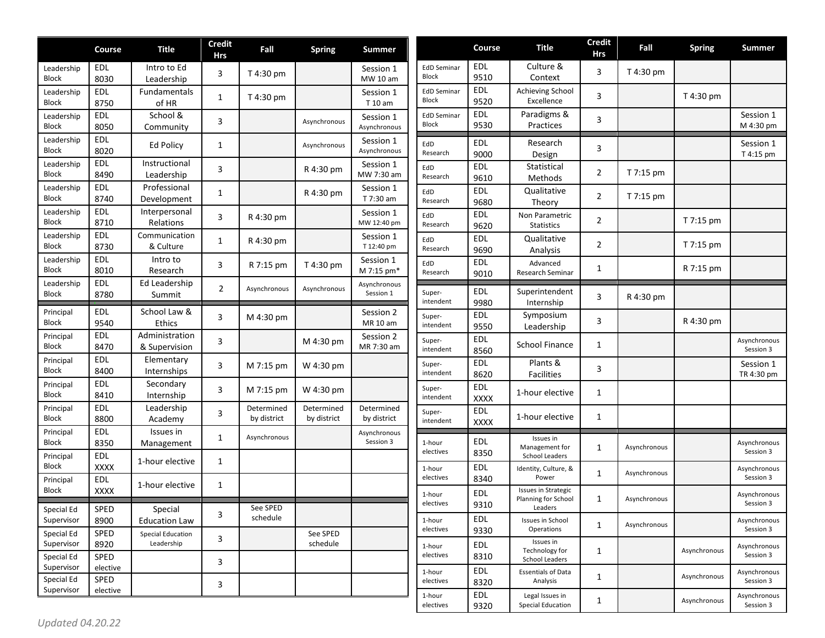|                            | Course             | <b>Title</b>                           | <b>Credit</b><br><b>Hrs</b> | Fall                      | <b>Spring</b>             | Summer                    |                                    | Course                    | <b>Title</b>                                           | <b>Credit</b><br>Hrs | Fall         | <b>Spring</b> | <b>Summer</b>             |
|----------------------------|--------------------|----------------------------------------|-----------------------------|---------------------------|---------------------------|---------------------------|------------------------------------|---------------------------|--------------------------------------------------------|----------------------|--------------|---------------|---------------------------|
| Leadership<br><b>Block</b> | EDL<br>8030        | Intro to Ed<br>Leadership              | 3                           | T 4:30 pm                 |                           | Session 1<br>MW 10 am     | <b>EdD Seminar</b><br><b>Block</b> | <b>EDL</b><br>9510        | Culture &<br>Context                                   | 3                    | T 4:30 pm    |               |                           |
| Leadership<br><b>Block</b> | EDL<br>8750        | Fundamentals<br>of HR                  | $\mathbf{1}$                | T 4:30 pm                 |                           | Session 1<br>T 10 am      | <b>EdD Seminar</b><br><b>Block</b> | <b>EDL</b><br>9520        | Achieving School<br>Excellence                         | 3                    |              | T 4:30 pm     |                           |
| Leadership<br><b>Block</b> | <b>EDL</b><br>8050 | School &<br>Community                  | 3                           |                           | Asynchronous              | Session 1<br>Asynchronous | <b>EdD Seminar</b><br><b>Block</b> | <b>EDL</b><br>9530        | Paradigms &<br>Practices                               | 3                    |              |               | Session 1<br>M 4:30 pm    |
| Leadership<br><b>Block</b> | <b>EDL</b><br>8020 | <b>Ed Policy</b>                       | 1                           |                           | Asynchronous              | Session 1<br>Asynchronous | EdD<br>Research                    | <b>EDL</b><br>9000        | Research<br>Design                                     | 3                    |              |               | Session 1<br>T 4:15 pm    |
| Leadership<br><b>Block</b> | <b>EDL</b><br>8490 | Instructional<br>Leadership            | 3                           |                           | R 4:30 pm                 | Session 1<br>MW 7:30 am   | EdD<br>Research                    | EDL<br>9610               | Statistical<br>Methods                                 | $\overline{2}$       | T 7:15 pm    |               |                           |
| Leadership<br><b>Block</b> | EDL<br>8740        | Professional<br>Development            | 1                           |                           | R 4:30 pm                 | Session 1<br>T 7:30 am    | EdD<br>Research                    | <b>EDL</b><br>9680        | Qualitative<br>Theory                                  | $\overline{2}$       | T 7:15 pm    |               |                           |
| Leadership<br>Block        | EDL<br>8710        | Interpersonal<br>Relations             | 3                           | R 4:30 pm                 |                           | Session 1<br>MW 12:40 pm  | EdD<br>Research                    | <b>EDL</b><br>9620        | Non Parametric<br><b>Statistics</b>                    | $\overline{2}$       |              | T 7:15 pm     |                           |
| Leadership<br><b>Block</b> | EDL<br>8730        | Communication<br>& Culture             | $\mathbf{1}$                | R 4:30 pm                 |                           | Session 1<br>T 12:40 pm   | EdD<br>Research                    | <b>EDL</b><br>9690        | Qualitative<br>Analysis                                | $\overline{2}$       |              | T 7:15 pm     |                           |
| Leadership<br><b>Block</b> | EDL<br>8010        | Intro to<br>Research                   | 3                           | R 7:15 pm                 | T 4:30 pm                 | Session 1<br>M 7:15 pm*   | EdD<br>Research                    | <b>EDL</b><br>9010        | Advanced<br>Research Seminar                           | 1                    |              | R 7:15 pm     |                           |
| Leadership<br><b>Block</b> | EDL<br>8780        | Ed Leadership<br>Summit                | $\overline{2}$              | Asynchronous              | Asynchronous              | Asynchronous<br>Session 1 | Super-<br>intendent                | <b>EDL</b><br>9980        | Superintendent<br>Internship                           | 3                    | R 4:30 pm    |               |                           |
| Principal<br><b>Block</b>  | EDL<br>9540        | School Law &<br>Ethics                 | 3                           | M 4:30 pm                 |                           | Session 2<br>MR 10 am     | Super-<br>intendent                | <b>EDL</b><br>9550        | Symposium<br>Leadership                                | 3                    |              | R 4:30 pm     |                           |
| Principal<br><b>Block</b>  | EDL<br>8470        | Administration<br>& Supervision        | 3                           |                           | M 4:30 pm                 | Session 2<br>MR 7:30 am   | Super-<br>intendent                | <b>EDL</b><br>8560        | <b>School Finance</b>                                  | 1                    |              |               | Asynchronous<br>Session 3 |
| Principal<br><b>Block</b>  | EDL<br>8400        | Elementary<br>Internships              | 3                           | M 7:15 pm                 | W 4:30 pm                 |                           | Super-<br>intendent                | <b>EDL</b><br>8620        | Plants &<br>Facilities                                 | 3                    |              |               | Session 1<br>TR 4:30 pm   |
| Principal<br><b>Block</b>  | EDL<br>8410        | Secondary<br>Internship                | 3                           | M 7:15 pm                 | W 4:30 pm                 |                           | Super-<br>intendent                | <b>EDL</b><br><b>XXXX</b> | 1-hour elective                                        | 1                    |              |               |                           |
| Principal<br><b>Block</b>  | <b>EDL</b><br>8800 | Leadership<br>Academy                  | 3                           | Determined<br>by district | Determined<br>by district | Determined<br>by district | Super-<br>intendent                | EDL<br><b>XXXX</b>        | 1-hour elective                                        | 1                    |              |               |                           |
| Principal<br><b>Block</b>  | EDL<br>8350        | Issues in<br>Management                | $\mathbf{1}$                | Asynchronous              |                           | Asynchronous<br>Session 3 | 1-hour<br>electives                | EDL<br>8350               | Issues in<br>Management for                            | 1                    | Asynchronous |               | Asynchronous<br>Session 3 |
| Principal<br><b>Block</b>  | EDL<br><b>XXXX</b> | 1-hour elective                        | 1                           |                           |                           |                           | 1-hour<br>electives                | <b>EDL</b>                | <b>School Leaders</b><br>Identity, Culture, &<br>Power | 1                    | Asynchronous |               | Asynchronous<br>Session 3 |
| Principal<br><b>Block</b>  | EDL<br><b>XXXX</b> | 1-hour elective                        | 1                           |                           |                           |                           | 1-hour                             | 8340<br><b>EDL</b>        | <b>Issues in Strategic</b><br>Planning for School      | 1                    | Asynchronous |               | Asynchronous              |
| Special Ed<br>Supervisor   | SPED<br>8900       | Special<br><b>Education Law</b>        | 3                           | See SPED<br>schedule      |                           |                           | electives<br>1-hour                | 9310<br>EDL               | Leaders<br>Issues in School                            | $\mathbf{1}$         | Asynchronous |               | Session 3<br>Asynchronous |
| Special Ed<br>Supervisor   | SPED<br>8920       | <b>Special Education</b><br>Leadership | 3                           |                           | See SPED<br>schedule      |                           | electives<br>1-hour                | 9330<br>EDL               | Operations<br>Issues in                                |                      |              |               | Session 3<br>Asynchronous |
| Special Ed<br>Supervisor   | SPED<br>elective   |                                        | 3                           |                           |                           |                           | electives                          | 8310                      | Technology for<br>School Leaders                       | 1                    |              | Asynchronous  | Session 3                 |
| Special Ed<br>Supervisor   | SPED<br>elective   |                                        | 3                           |                           |                           |                           | 1-hour<br>electives                | EDL<br>8320               | <b>Essentials of Data</b><br>Analysis                  | 1                    |              | Asynchronous  | Asynchronous<br>Session 3 |
|                            |                    |                                        |                             |                           |                           |                           | 1-hour<br>electives                | EDL<br>9320               | Legal Issues in<br><b>Special Education</b>            | 1                    |              | Asynchronous  | Asynchronous<br>Session 3 |